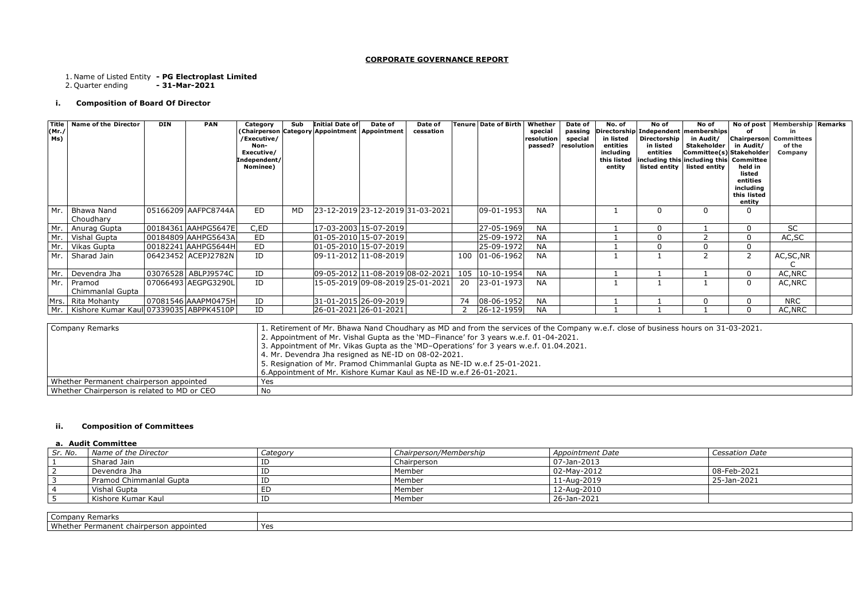## **CORPORATE GOVERNANCE REPORT**

1. Name of Listed Entity **- PG Electroplast Limited**

2. Quarter ending **- 31-Mar-2021**

# **i. Composition of Board Of Director**

# **ii. Composition of Committees**

Whether Chairperson is related to MD or CEO No

## **a. Audit Committee**

| Sr. No. | Name of the Director    | Category | Chairperson/Membership | Appointment Date  | Cessation Date |
|---------|-------------------------|----------|------------------------|-------------------|----------------|
|         | Sharad Jain             | ΙD       | Chairperson            | $07 - Jan - 2013$ |                |
|         | Devendra Jha            | ΙD       | Member                 | $02$ -May-2012    | 08-Feb-2021    |
|         | Pramod Chimmanlal Gupta | ID       | Member                 | 11-Aug-2019       | 25-Jan-2021    |
|         | Vishal Gupta            | ED.      | Member                 | 12-Aug-2010       |                |
|         | Kishore Kumar Kaul      | ID       | Member                 | 26-Jan-2021       |                |
|         |                         |          |                        |                   |                |

| company<br>Remarks                                 |                           |  |
|----------------------------------------------------|---------------------------|--|
| Whether<br>o appointed<br>Permanent<br>chairperson | $V_{\alpha}$<br>16.<br>-- |  |

| <b>Cessation Date</b> |
|-----------------------|
|                       |
| 08-Feb-2021           |
| 25-Jan-2021           |
|                       |
|                       |
|                       |
|                       |
|                       |

| Title  <br>(Mr.<br>Ms) | <b>Name of the Director</b>                                                                                                                                                                                                                                                                                                                                                                                                                                                                                                                                 | <b>DIN</b> | <b>PAN</b>          | Category<br>/Executive/<br>Non-<br>Executive/<br>Independent/<br>Nominee) | Sub | <b>Initial Date of</b><br>(Chairperson Category Appointment Appointment) | Date of                          | Date of<br>cessation |                | <b>Tenure Date of Birth</b> | Whether<br>special<br>resolution<br>passed? | Date of<br>passing<br>special<br>resolution | No. of<br>in listed<br>entities<br>including<br>this listed<br>entity | No of<br>Directorship<br>in listed<br>entities<br>listed entity | No of<br>Directorship Independent memberships<br>in Audit/<br><b>Stakeholder</b><br>Committee(s) Stakeholder<br>including this including this Committee<br>listed entity | οf<br>in Audit/<br>held in<br>listed<br>entities<br>including<br>this listed<br>entity | No of post   Membership   Remarks<br>in<br><b>Chairperson</b> Committees<br>of the<br>Company |
|------------------------|-------------------------------------------------------------------------------------------------------------------------------------------------------------------------------------------------------------------------------------------------------------------------------------------------------------------------------------------------------------------------------------------------------------------------------------------------------------------------------------------------------------------------------------------------------------|------------|---------------------|---------------------------------------------------------------------------|-----|--------------------------------------------------------------------------|----------------------------------|----------------------|----------------|-----------------------------|---------------------------------------------|---------------------------------------------|-----------------------------------------------------------------------|-----------------------------------------------------------------|--------------------------------------------------------------------------------------------------------------------------------------------------------------------------|----------------------------------------------------------------------------------------|-----------------------------------------------------------------------------------------------|
| Mr.                    | Bhawa Nand<br>Choudhary                                                                                                                                                                                                                                                                                                                                                                                                                                                                                                                                     |            | 05166209 AAFPC8744A | <b>ED</b>                                                                 | MD. |                                                                          | 23-12-2019 23-12-2019 31-03-2021 |                      |                | 09-01-1953                  | <b>NA</b>                                   |                                             |                                                                       | $\Omega$                                                        | $\Omega$                                                                                                                                                                 | 0                                                                                      |                                                                                               |
| Mr.                    | Anurag Gupta                                                                                                                                                                                                                                                                                                                                                                                                                                                                                                                                                |            | 00184361 AAHPG5647E | C,ED                                                                      |     |                                                                          | 17-03-2003 15-07-2019            |                      |                | 27-05-1969                  | <b>NA</b>                                   |                                             | $\overline{\mathbf{1}}$                                               | $\Omega$                                                        |                                                                                                                                                                          | $\overline{0}$                                                                         | <b>SC</b>                                                                                     |
| Mr.                    | Vishal Gupta                                                                                                                                                                                                                                                                                                                                                                                                                                                                                                                                                |            | 00184809 AAHPG5643A | ED                                                                        |     |                                                                          | 01-05-2010 15-07-2019            |                      |                | 25-09-1972                  | <b>NA</b>                                   |                                             |                                                                       | $\cap$                                                          | $\overline{2}$                                                                                                                                                           | $\mathbf 0$                                                                            | AC, SC                                                                                        |
| Mr.                    | Vikas Gupta                                                                                                                                                                                                                                                                                                                                                                                                                                                                                                                                                 |            | 00182241 AAHPG5644H | <b>ED</b>                                                                 |     |                                                                          | $01 - 05 - 2010$ 15-07-2019      |                      |                | 25-09-1972                  | <b>NA</b>                                   |                                             |                                                                       |                                                                 | $\mathbf 0$                                                                                                                                                              | $\mathbf 0$                                                                            |                                                                                               |
| Mr.                    | Sharad Jain                                                                                                                                                                                                                                                                                                                                                                                                                                                                                                                                                 |            | 06423452 ACEPJ2782N | ID                                                                        |     |                                                                          | 09-11-2012 11-08-2019            |                      |                | 100 01-06-1962              | <b>NA</b>                                   |                                             |                                                                       |                                                                 | $\overline{2}$                                                                                                                                                           | $\overline{2}$                                                                         | AC, SC, NR                                                                                    |
| Mr.                    | Devendra Jha                                                                                                                                                                                                                                                                                                                                                                                                                                                                                                                                                |            | 03076528 ABLPJ9574C | ID                                                                        |     |                                                                          | 09-05-2012 11-08-2019 08-02-2021 |                      |                | 105 10-10-1954              | <b>NA</b>                                   |                                             |                                                                       |                                                                 |                                                                                                                                                                          | $\mathbf 0$                                                                            | AC, NRC                                                                                       |
| Mr.                    | Pramod<br>Chimmanlal Gupta                                                                                                                                                                                                                                                                                                                                                                                                                                                                                                                                  |            | 07066493 AEGPG3290L | ID                                                                        |     |                                                                          | 15-05-2019 09-08-2019 25-01-2021 |                      | 20             | $ 23-01-1973 $              | <b>NA</b>                                   |                                             |                                                                       |                                                                 |                                                                                                                                                                          | $\mathbf 0$                                                                            | AC, NRC                                                                                       |
|                        | Mrs. Rita Mohanty                                                                                                                                                                                                                                                                                                                                                                                                                                                                                                                                           |            | 07081546 AAAPM0475H | ID                                                                        |     |                                                                          | 31-01-2015 26-09-2019            |                      | 74             | $ 08-06-1952$               | <b>NA</b>                                   |                                             |                                                                       |                                                                 | $\mathbf 0$                                                                                                                                                              | $\mathbf 0$                                                                            | <b>NRC</b>                                                                                    |
|                        | Mr.   Kishore Kumar Kaul 07339035 ABPPK4510P                                                                                                                                                                                                                                                                                                                                                                                                                                                                                                                |            |                     | ID                                                                        |     | 26-01-2021 26-01-2021                                                    |                                  |                      | $\overline{2}$ | 26-12-1959                  | <b>NA</b>                                   |                                             |                                                                       |                                                                 |                                                                                                                                                                          | $\mathbf 0$                                                                            | AC, NRC                                                                                       |
|                        | 1. Retirement of Mr. Bhawa Nand Choudhary as MD and from the services of the Company w.e.f. close of business hours on 31-03-2021.<br><b>Company Remarks</b><br>2. Appointment of Mr. Vishal Gupta as the 'MD-Finance' for 3 years w.e.f. 01-04-2021.<br>3. Appointment of Mr. Vikas Gupta as the 'MD-Operations' for 3 years w.e.f. 01.04.2021.<br>4. Mr. Devendra Jha resigned as NE-ID on 08-02-2021.<br>5. Resignation of Mr. Pramod Chimmanlal Gupta as NE-ID w.e.f 25-01-2021.<br>6. Appointment of Mr. Kishore Kumar Kaul as NE-ID w.e.f 26-01-2021. |            |                     |                                                                           |     |                                                                          |                                  |                      |                |                             |                                             |                                             |                                                                       |                                                                 |                                                                                                                                                                          |                                                                                        |                                                                                               |
|                        | Whether Permanent chairperson appointed                                                                                                                                                                                                                                                                                                                                                                                                                                                                                                                     |            |                     | Yes                                                                       |     |                                                                          |                                  |                      |                |                             |                                             |                                             |                                                                       |                                                                 |                                                                                                                                                                          |                                                                                        |                                                                                               |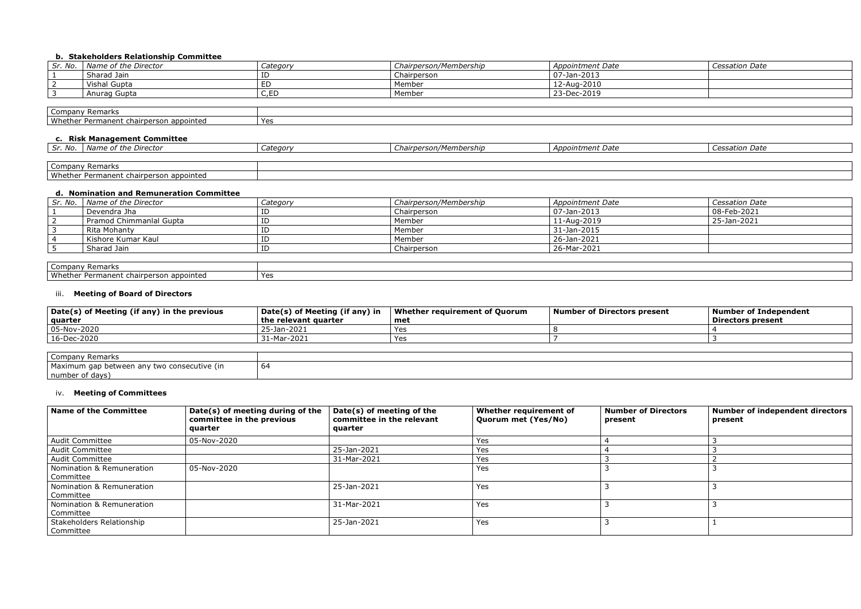# **b. Stakeholders Relationship Committee**

| Sr. No.  | Name of the Director | Category    | Chairperson/Membership | <b>Appointment Date</b> | Cessation Date |
|----------|----------------------|-------------|------------------------|-------------------------|----------------|
|          | Sharad Jain          | ID          | Chairperson            | $07 - Jan - 2013$       |                |
| <u>_</u> | Vishal Gupta         | ED          | Member                 | 12-Aug-2010             |                |
|          | Anurag Gupta         | C ED<br>〜・」 | Member                 | 23-Dec-2019             |                |
|          |                      |             |                        |                         |                |

| Company<br>.<br><u>ew Remarks</u>                                                     |     |
|---------------------------------------------------------------------------------------|-----|
| Whet.<br>appointeu<br>inen:<br>ומש<br>າerson<br>- - - -<br>chairr<br><b>DU</b><br>. . | Yes |

## **c. Risk Management Committee**

| Name of the Director<br>Sr. ivo.        | Category | Chairperson/Membership | Appointment Date | ition Date |
|-----------------------------------------|----------|------------------------|------------------|------------|
|                                         |          |                        |                  |            |
| Company Remarks                         |          |                        |                  |            |
| Whether Permanent chairperson appointed |          |                        |                  |            |

| d. Nomination and Remuneration Committee |          |                        |                     |                       |  |  |  |
|------------------------------------------|----------|------------------------|---------------------|-----------------------|--|--|--|
| Sr. No.   Name of the Director           | Category | Chairperson/Membership | Appointment Date    | <b>Cessation Date</b> |  |  |  |
| Devendra Jha                             |          | Chairperson            | $ 07 - Jan - 2013 $ | 08-Feb-2021           |  |  |  |
| Pramod Chimmanlal Gupta                  | ID       | Member                 | 11-Aug-2019         | 25-Jan-2021           |  |  |  |
| Rita Mohanty                             |          | Member                 | 31-Jan-2015         |                       |  |  |  |
| Kishore Kumar Kaul                       |          | Member                 | 26-Jan-2021         |                       |  |  |  |
| Sharad Jain                              | ΙD       | Chairperson            | 26-Mar-2021         |                       |  |  |  |
|                                          |          |                        |                     |                       |  |  |  |
| Company Remarks                          |          |                        |                     |                       |  |  |  |

| Company Remarks                         |              |
|-----------------------------------------|--------------|
| Whether Permanent chairperson appointed | $V_{\Omega}$ |

# iii. **Meeting of Board of Directors**

| Date(s) of Meeting (if any) in the previous<br>quarter | Date(s) of Meeting (if any) in<br>the relevant quarter | Whether requirement of Quorum<br>met | Number of Directors present | <b>Number of Independent</b><br><b>Directors present</b> |
|--------------------------------------------------------|--------------------------------------------------------|--------------------------------------|-----------------------------|----------------------------------------------------------|
| 05-Nov-2020                                            | 25-Jan-2021                                            | Yes                                  |                             |                                                          |
| 16-Dec-2020                                            | 31-Mar-2021                                            | Yes                                  |                             |                                                          |
|                                                        |                                                        |                                      |                             |                                                          |
|                                                        |                                                        |                                      |                             |                                                          |

| Company Remarks                             |    |
|---------------------------------------------|----|
| Maximum gap between any two consecutive (in | b٤ |
| number of days)                             |    |

# iv. **Meeting of Committees**

| <b>Name of the Committee</b>           | Date(s) of meeting during of the<br>committee in the previous<br>quarter | Date(s) of meeting of the<br>committee in the relevant<br>quarter | Whether requirement of<br>Quorum met (Yes/No) | <b>Number of Directors</b><br>present | Number of independent directors<br>present |
|----------------------------------------|--------------------------------------------------------------------------|-------------------------------------------------------------------|-----------------------------------------------|---------------------------------------|--------------------------------------------|
| <b>Audit Committee</b>                 | 05-Nov-2020                                                              |                                                                   | Yes                                           |                                       |                                            |
| <b>Audit Committee</b>                 |                                                                          | 25-Jan-2021                                                       | Yes                                           |                                       |                                            |
| <b>Audit Committee</b>                 |                                                                          | 31-Mar-2021                                                       | Yes                                           |                                       |                                            |
| Nomination & Remuneration<br>Committee | 05-Nov-2020                                                              |                                                                   | Yes                                           |                                       |                                            |
| Nomination & Remuneration<br>Committee |                                                                          | 25-Jan-2021                                                       | Yes                                           |                                       |                                            |
| Nomination & Remuneration<br>Committee |                                                                          | 31-Mar-2021                                                       | Yes                                           |                                       |                                            |
| Stakeholders Relationship<br>Committee |                                                                          | 25-Jan-2021                                                       | Yes                                           |                                       |                                            |

| <b>Cessation Date</b> |
|-----------------------|
|                       |
|                       |
|                       |
|                       |
|                       |
|                       |
|                       |
|                       |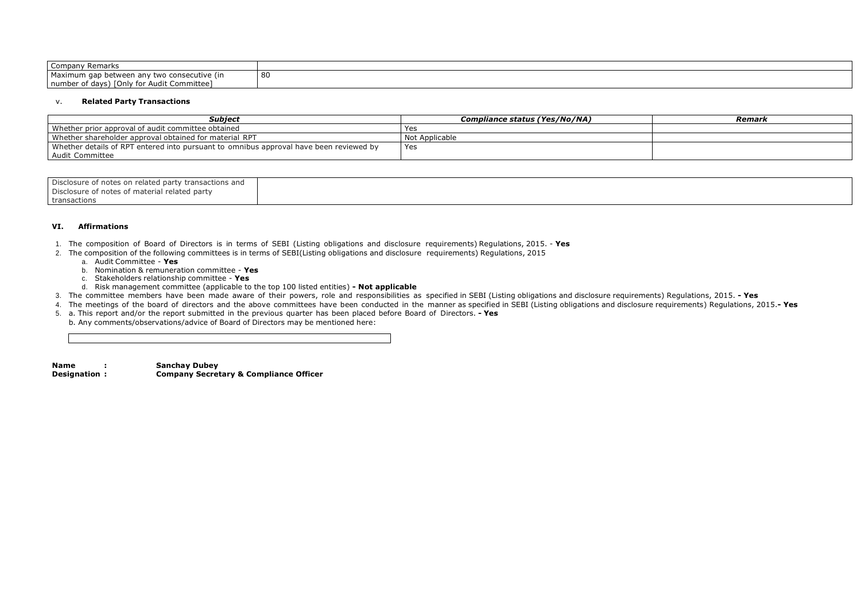| Company Remarks                             |    |  |
|---------------------------------------------|----|--|
| Maximum gap between any two consecutive (in | 80 |  |
| number of days) [Only for Audit Committee]  |    |  |

## v. **Related Party Transactions**

| Subject                                                                                | Compliance status (Yes/No/NA) | Remark |
|----------------------------------------------------------------------------------------|-------------------------------|--------|
| Whether prior approval of audit committee obtained                                     | Yes                           |        |
| Whether shareholder approval obtained for material RPT                                 | Not Applicable                |        |
| Whether details of RPT entered into pursuant to omnibus approval have been reviewed by | Yes                           |        |
| Audit Committee                                                                        |                               |        |
|                                                                                        |                               |        |

| Disclosure of notes on related party transactions and |  |
|-------------------------------------------------------|--|
| Disclosure of notes of material related party         |  |
| transactions                                          |  |

## **VI. Affirmations**

- 1. The composition of Board of Directors is in terms of SEBI (Listing obligations and disclosure requirements) Regulations, 2015. **Yes**
- 2. The composition of the following committees is in terms of SEBI(Listing obligations and disclosure requirements) Regulations, 2015
	- a. Audit Committee **Yes**
	- b. Nomination & remuneration committee **Yes**
	- c. Stakeholders relationship committee **Yes**
	- d. Risk management committee (applicable to the top 100 listed entities) **- Not applicable**
- 3. The committee members have been made aware of their powers, role and responsibilities as specified in SEBI (Listing obligations and disclosure requirements) Regulations, 2015. **- Yes**
- 4. The meetings of the board of directors and the above committees have been conducted in the manner as specified in SEBI (Listing obligations and disclosure requirements) Regulations, 2015.**- Yes**
- 5. a. This report and/or the report submitted in the previous quarter has been placed before Board of Directors. **- Yes**
- b. Any comments/observations/advice of Board of Directors may be mentioned here:

**Name : Sanchay Dubey Designation : Company Secretary & Compliance Officer**

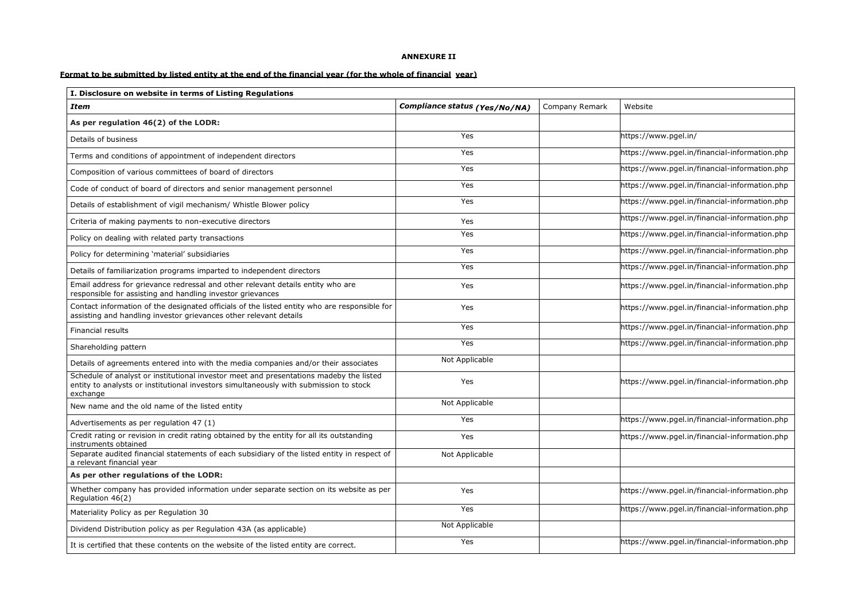## **ANNEXURE II**

## Format to be submitted by listed entity at the end of the financial year (for the whole of financial year)

| I. Disclosure on website in terms of Listing Regulations                                                                                                                                    |                               |                |                                               |
|---------------------------------------------------------------------------------------------------------------------------------------------------------------------------------------------|-------------------------------|----------------|-----------------------------------------------|
| <b>Item</b>                                                                                                                                                                                 | Compliance status (Yes/No/NA) | Company Remark | Website                                       |
| As per regulation 46(2) of the LODR:                                                                                                                                                        |                               |                |                                               |
| Details of business                                                                                                                                                                         | Yes                           |                | https://www.pgel.in/                          |
| Terms and conditions of appointment of independent directors                                                                                                                                | Yes                           |                | https://www.pgel.in/financial-information.php |
| Composition of various committees of board of directors                                                                                                                                     | Yes                           |                | https://www.pgel.in/financial-information.php |
| Code of conduct of board of directors and senior management personnel                                                                                                                       | Yes                           |                | https://www.pgel.in/financial-information.php |
| Details of establishment of vigil mechanism/ Whistle Blower policy                                                                                                                          | Yes                           |                | https://www.pgel.in/financial-information.php |
| Criteria of making payments to non-executive directors                                                                                                                                      | Yes                           |                | https://www.pgel.in/financial-information.php |
| Policy on dealing with related party transactions                                                                                                                                           | Yes                           |                | https://www.pgel.in/financial-information.php |
| Policy for determining 'material' subsidiaries                                                                                                                                              | Yes                           |                | https://www.pgel.in/financial-information.php |
| Details of familiarization programs imparted to independent directors                                                                                                                       | Yes                           |                | https://www.pgel.in/financial-information.php |
| Email address for grievance redressal and other relevant details entity who are<br>responsible for assisting and handling investor grievances                                               | Yes                           |                | https://www.pgel.in/financial-information.php |
| Contact information of the designated officials of the listed entity who are responsible for<br>assisting and handling investor grievances other relevant details                           | Yes                           |                | https://www.pgel.in/financial-information.php |
| <b>Financial results</b>                                                                                                                                                                    | Yes                           |                | https://www.pgel.in/financial-information.php |
| Shareholding pattern                                                                                                                                                                        | Yes                           |                | https://www.pgel.in/financial-information.php |
| Details of agreements entered into with the media companies and/or their associates                                                                                                         | Not Applicable                |                |                                               |
| Schedule of analyst or institutional investor meet and presentations madeby the listed<br>entity to analysts or institutional investors simultaneously with submission to stock<br>exchange | Yes                           |                | https://www.pgel.in/financial-information.php |
| New name and the old name of the listed entity                                                                                                                                              | Not Applicable                |                |                                               |
| Advertisements as per regulation 47 (1)                                                                                                                                                     | Yes                           |                | https://www.pgel.in/financial-information.php |
| Credit rating or revision in credit rating obtained by the entity for all its outstanding<br>instruments obtained                                                                           | Yes                           |                | https://www.pgel.in/financial-information.php |
| Separate audited financial statements of each subsidiary of the listed entity in respect of<br>a relevant financial year                                                                    | Not Applicable                |                |                                               |
| As per other regulations of the LODR:                                                                                                                                                       |                               |                |                                               |
| Whether company has provided information under separate section on its website as per<br>Regulation 46(2)                                                                                   | Yes                           |                | https://www.pgel.in/financial-information.php |
| Materiality Policy as per Regulation 30                                                                                                                                                     | Yes                           |                | https://www.pgel.in/financial-information.php |
| Dividend Distribution policy as per Regulation 43A (as applicable)                                                                                                                          | Not Applicable                |                |                                               |
| It is certified that these contents on the website of the listed entity are correct.                                                                                                        | Yes                           |                | https://www.pgel.in/financial-information.php |

| e                                     |
|---------------------------------------|
|                                       |
| www.pgel.in/                          |
| www.pgel.in/financial-information.php |
| www.pgel.in/financial-information.php |
| www.pgel.in/financial-information.php |
| www.pgel.in/financial-information.php |
| www.pgel.in/financial-information.php |
| www.pgel.in/financial-information.php |
| www.pgel.in/financial-information.php |
| www.pgel.in/financial-information.php |
| www.pgel.in/financial-information.php |
| www.pgel.in/financial-information.php |
| www.pgel.in/financial-information.php |
| www.pgel.in/financial-information.php |
|                                       |
| www.pgel.in/financial-information.php |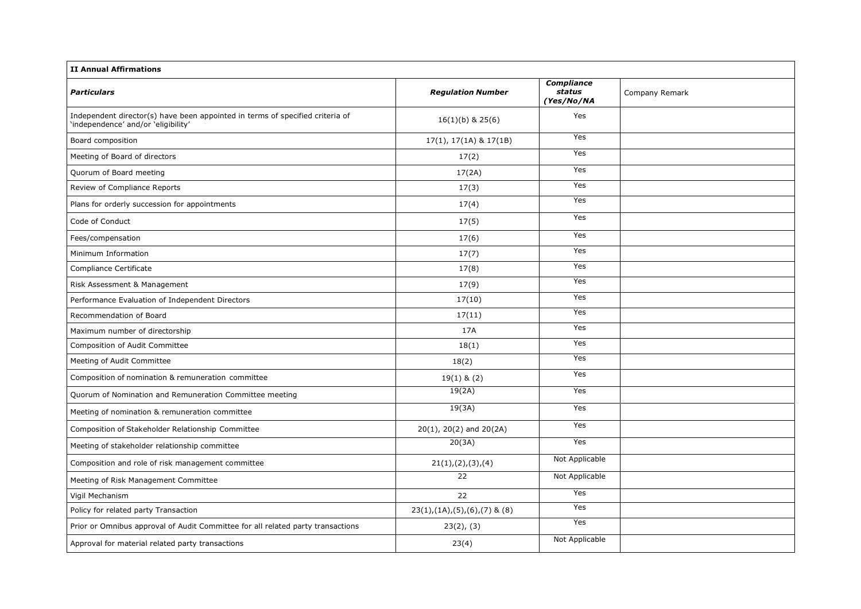| Company Remark |
|----------------|
|                |
|                |
|                |
|                |
|                |
|                |
|                |
|                |
|                |
|                |
|                |
|                |
|                |
|                |
|                |
|                |
|                |
|                |
|                |
|                |
|                |
|                |
|                |
|                |
|                |
|                |

| <b>II Annual Affirmations</b>                                                                                        |                                |                                           |        |
|----------------------------------------------------------------------------------------------------------------------|--------------------------------|-------------------------------------------|--------|
| <b>Particulars</b>                                                                                                   | <b>Regulation Number</b>       | <b>Compliance</b><br>status<br>(Yes/No/NA | Compai |
| Independent director(s) have been appointed in terms of specified criteria of<br>'independence' and/or 'eligibility' | $16(1)(b)$ & 25(6)             | Yes                                       |        |
| Board composition                                                                                                    | $17(1), 17(1A)$ & $17(1B)$     | Yes                                       |        |
| Meeting of Board of directors                                                                                        | 17(2)                          | Yes                                       |        |
| Quorum of Board meeting                                                                                              | 17(2A)                         | Yes                                       |        |
| Review of Compliance Reports                                                                                         | 17(3)                          | Yes                                       |        |
| Plans for orderly succession for appointments                                                                        | 17(4)                          | Yes                                       |        |
| Code of Conduct                                                                                                      | 17(5)                          | Yes                                       |        |
| Fees/compensation                                                                                                    | 17(6)                          | Yes                                       |        |
| Minimum Information                                                                                                  | 17(7)                          | Yes                                       |        |
| Compliance Certificate                                                                                               | 17(8)                          | Yes                                       |        |
| Risk Assessment & Management                                                                                         | 17(9)                          | Yes                                       |        |
| Performance Evaluation of Independent Directors                                                                      | 17(10)                         | Yes                                       |        |
| Recommendation of Board                                                                                              | 17(11)                         | Yes                                       |        |
| Maximum number of directorship                                                                                       | 17A                            | Yes                                       |        |
| Composition of Audit Committee                                                                                       | 18(1)                          | Yes                                       |        |
| Meeting of Audit Committee                                                                                           | 18(2)                          | Yes                                       |        |
| Composition of nomination & remuneration committee                                                                   | $19(1)$ & $(2)$                | Yes                                       |        |
| Quorum of Nomination and Remuneration Committee meeting                                                              | 19(2A)                         | Yes                                       |        |
| Meeting of nomination & remuneration committee                                                                       | 19(3A)                         | Yes                                       |        |
| Composition of Stakeholder Relationship Committee                                                                    | $20(1)$ , $20(2)$ and $20(2A)$ | Yes                                       |        |
| Meeting of stakeholder relationship committee                                                                        | 20(3A)                         | Yes                                       |        |
| Composition and role of risk management committee                                                                    | 21(1), (2), (3), (4)           | Not Applicable                            |        |
| Meeting of Risk Management Committee                                                                                 | 22                             | Not Applicable                            |        |
| Vigil Mechanism                                                                                                      | 22                             | Yes                                       |        |
| Policy for related party Transaction                                                                                 | $23(1),(1A),(5),(6),(7)$ & (8) | Yes                                       |        |
| Prior or Omnibus approval of Audit Committee for all related party transactions                                      | 23(2), (3)                     | Yes                                       |        |
| Approval for material related party transactions                                                                     | 23(4)                          | Not Applicable                            |        |
|                                                                                                                      |                                |                                           |        |